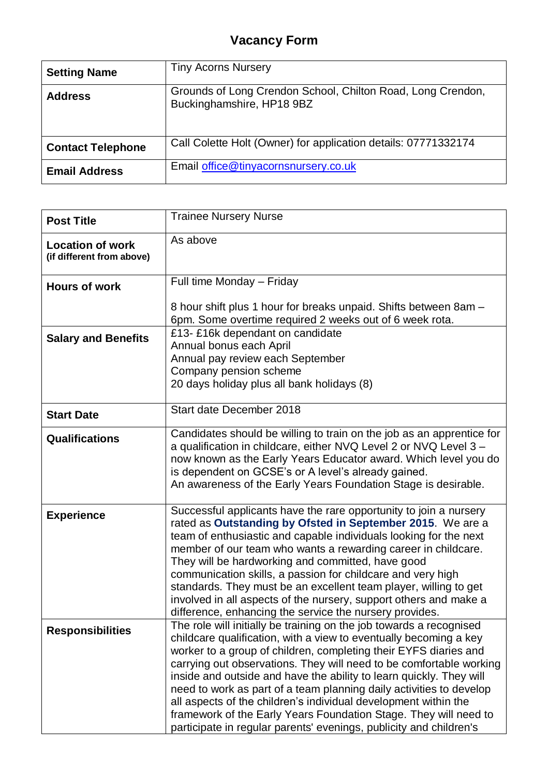## **Vacancy Form**

| <b>Setting Name</b>      | <b>Tiny Acorns Nursery</b>                                                               |
|--------------------------|------------------------------------------------------------------------------------------|
| <b>Address</b>           | Grounds of Long Crendon School, Chilton Road, Long Crendon,<br>Buckinghamshire, HP18 9BZ |
| <b>Contact Telephone</b> | Call Colette Holt (Owner) for application details: 07771332174                           |
| <b>Email Address</b>     | Email office@tinyacornsnursery.co.uk                                                     |

| <b>Post Title</b>                                    | <b>Trainee Nursery Nurse</b>                                                                                                                                                                                                                                                                                                                                                                                                                                                                                                                                                                                                                   |
|------------------------------------------------------|------------------------------------------------------------------------------------------------------------------------------------------------------------------------------------------------------------------------------------------------------------------------------------------------------------------------------------------------------------------------------------------------------------------------------------------------------------------------------------------------------------------------------------------------------------------------------------------------------------------------------------------------|
| <b>Location of work</b><br>(if different from above) | As above                                                                                                                                                                                                                                                                                                                                                                                                                                                                                                                                                                                                                                       |
| <b>Hours of work</b>                                 | Full time Monday - Friday                                                                                                                                                                                                                                                                                                                                                                                                                                                                                                                                                                                                                      |
|                                                      | 8 hour shift plus 1 hour for breaks unpaid. Shifts between 8am -<br>6pm. Some overtime required 2 weeks out of 6 week rota.                                                                                                                                                                                                                                                                                                                                                                                                                                                                                                                    |
| <b>Salary and Benefits</b>                           | £13- £16k dependant on candidate<br>Annual bonus each April<br>Annual pay review each September<br>Company pension scheme<br>20 days holiday plus all bank holidays (8)                                                                                                                                                                                                                                                                                                                                                                                                                                                                        |
| <b>Start Date</b>                                    | Start date December 2018                                                                                                                                                                                                                                                                                                                                                                                                                                                                                                                                                                                                                       |
| <b>Qualifications</b>                                | Candidates should be willing to train on the job as an apprentice for<br>a qualification in childcare, either NVQ Level 2 or NVQ Level 3 -<br>now known as the Early Years Educator award. Which level you do<br>is dependent on GCSE's or A level's already gained.<br>An awareness of the Early Years Foundation Stage is desirable.                                                                                                                                                                                                                                                                                                         |
| <b>Experience</b>                                    | Successful applicants have the rare opportunity to join a nursery<br>rated as Outstanding by Ofsted in September 2015. We are a<br>team of enthusiastic and capable individuals looking for the next<br>member of our team who wants a rewarding career in childcare.<br>They will be hardworking and committed, have good<br>communication skills, a passion for childcare and very high<br>standards. They must be an excellent team player, willing to get<br>involved in all aspects of the nursery, support others and make a<br>difference, enhancing the service the nursery provides.                                                  |
| <b>Responsibilities</b>                              | The role will initially be training on the job towards a recognised<br>childcare qualification, with a view to eventually becoming a key<br>worker to a group of children, completing their EYFS diaries and<br>carrying out observations. They will need to be comfortable working<br>inside and outside and have the ability to learn quickly. They will<br>need to work as part of a team planning daily activities to develop<br>all aspects of the children's individual development within the<br>framework of the Early Years Foundation Stage. They will need to<br>participate in regular parents' evenings, publicity and children's |